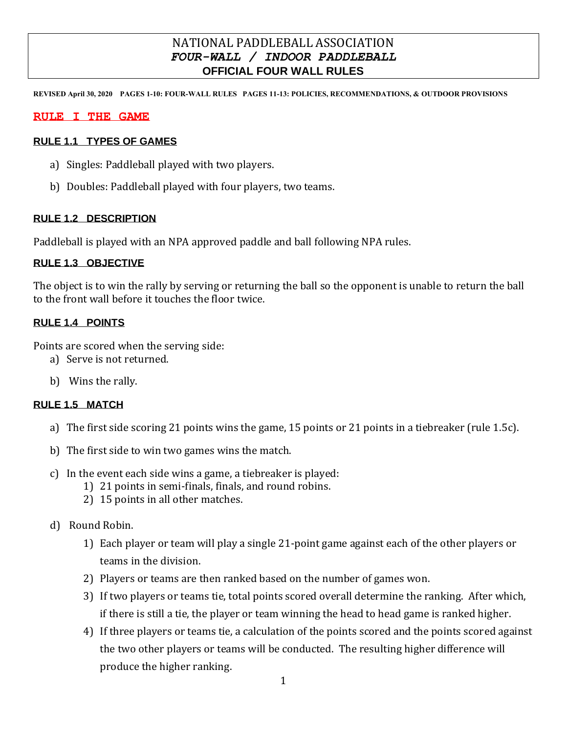## NATIONAL PADDLEBALL ASSOCIATION *FOUR-WALL / INDOOR PADDLEBALL* **OFFICIAL FOUR WALL RULES**

**REVISED April 30, 2020 PAGES 1-10: FOUR-WALL RULES PAGES 11-13: POLICIES, RECOMMENDATIONS, & OUTDOOR PROVISIONS**

#### **RULE I THE GAME**

#### **RULE 1.1 TYPES OF GAMES**

- a) Singles: Paddleball played with two players.
- b) Doubles: Paddleball played with four players, two teams.

#### **RULE 1.2 DESCRIPTION**

Paddleball is played with an NPA approved paddle and ball following NPA rules.

#### **RULE 1.3 OBJECTIVE**

The object is to win the rally by serving or returning the ball so the opponent is unable to return the ball to the front wall before it touches the floor twice.

#### **RULE 1.4 POINTS**

Points are scored when the serving side:

- a) Serve is not returned.
- b) Wins the rally.

#### **RULE 1.5 MATCH**

- a) The first side scoring 21 points wins the game, 15 points or 21 points in a tiebreaker (rule 1.5c).
- b) The first side to win two games wins the match.
- c) In the event each side wins a game, a tiebreaker is played:
	- 1) 21 points in semi-finals, finals, and round robins.
	- 2) 15 points in all other matches.
- d) Round Robin.
	- 1) Each player or team will play a single 21-point game against each of the other players or teams in the division.
	- 2) Players or teams are then ranked based on the number of games won.
	- 3) If two players or teams tie, total points scored overall determine the ranking. After which, if there is still a tie, the player or team winning the head to head game is ranked higher.
	- 4) If three players or teams tie, a calculation of the points scored and the points scored against the two other players or teams will be conducted. The resulting higher difference will produce the higher ranking.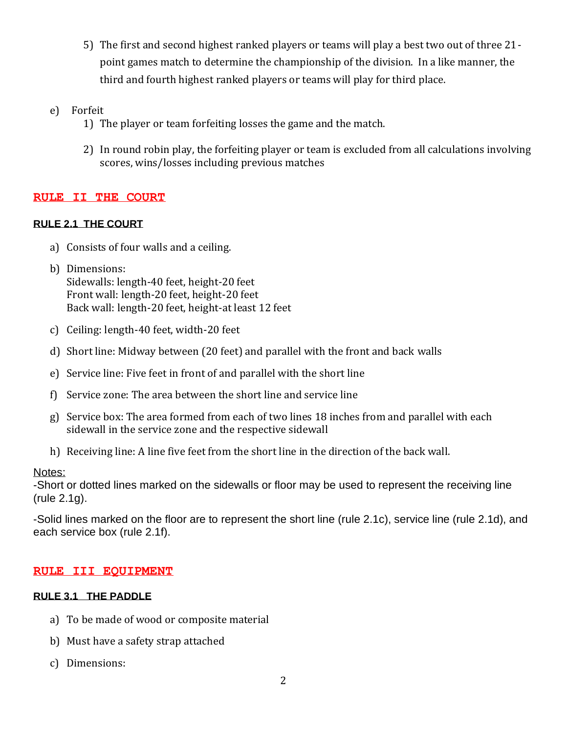- 5) The first and second highest ranked players or teams will play a best two out of three 21 point games match to determine the championship of the division. In a like manner, the third and fourth highest ranked players or teams will play for third place.
- e) Forfeit
	- 1) The player or team forfeiting losses the game and the match.
	- 2) In round robin play, the forfeiting player or team is excluded from all calculations involving scores, wins/losses including previous matches

#### **RULE II THE COURT**

## **RULE 2.1 THE COURT**

- a) Consists of four walls and a ceiling.
- b) Dimensions: Sidewalls: length-40 feet, height-20 feet Front wall: length-20 feet, height-20 feet Back wall: length-20 feet, height-at least 12 feet
- c) Ceiling: length-40 feet, width-20 feet
- d) Short line: Midway between (20 feet) and parallel with the front and back walls
- e) Service line: Five feet in front of and parallel with the short line
- f) Service zone: The area between the short line and service line
- g) Service box: The area formed from each of two lines 18 inches from and parallel with each sidewall in the service zone and the respective sidewall
- h) Receiving line: A line five feet from the short line in the direction of the back wall.

#### Notes:

-Short or dotted lines marked on the sidewalls or floor may be used to represent the receiving line (rule 2.1g).

-Solid lines marked on the floor are to represent the short line (rule 2.1c), service line (rule 2.1d), and each service box (rule 2.1f).

#### **RULE III EQUIPMENT**

#### **RULE 3.1 THE PADDLE**

- a) To be made of wood or composite material
- b) Must have a safety strap attached
- c) Dimensions: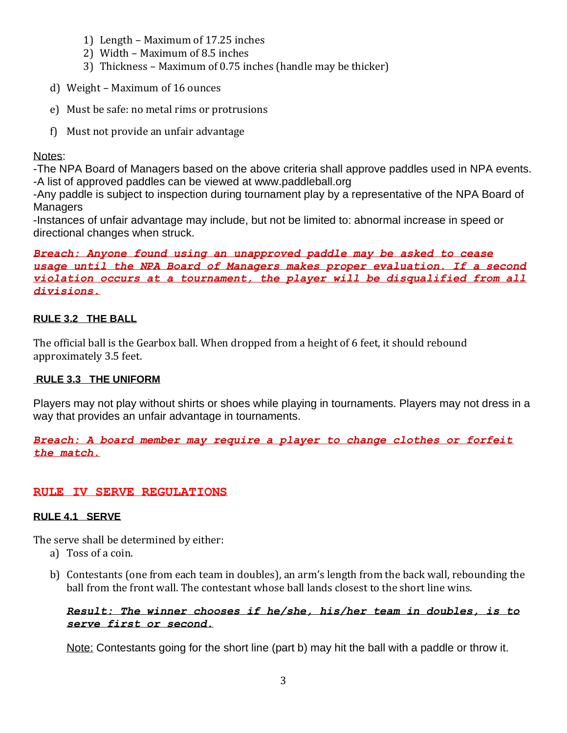- 1) Length Maximum of 17.25 inches
- 2) Width Maximum of 8.5 inches
- 3) Thickness Maximum of 0.75 inches (handle may be thicker)
- d) Weight Maximum of 16 ounces
- e) Must be safe: no metal rims or protrusions
- f) Must not provide an unfair advantage

## Notes:

-The NPA Board of Managers based on the above criteria shall approve paddles used in NPA events. -A list of approved paddles can be viewed at [www.paddleball.org](http://www.paddleball.org/)

-Any paddle is subject to inspection during tournament play by a representative of the NPA Board of **Managers** 

-Instances of unfair advantage may include, but not be limited to: abnormal increase in speed or directional changes when struck.

*Breach: Anyone found using an unapproved paddle may be asked to cease usage until the NPA Board of Managers makes proper evaluation. If a second violation occurs at a tournament, the player will be disqualified from all divisions.*

## **RULE 3.2 THE BALL**

The official ball is the Gearbox ball. When dropped from a height of 6 feet, it should rebound approximately 3.5 feet.

## **RULE 3.3 THE UNIFORM**

Players may not play without shirts or shoes while playing in tournaments. Players may not dress in a way that provides an unfair advantage in tournaments.

*Breach: A board member may require a player to change clothes or forfeit the match.*

## **RULE IV SERVE REGULATIONS**

## **RULE 4.1 SERVE**

The serve shall be determined by either:

- a) Toss of a coin.
- b) Contestants (one from each team in doubles), an arm's length from the back wall, rebounding the ball from the front wall. The contestant whose ball lands closest to the short line wins.

## *Result: The winner chooses if he/she, his/her team in doubles, is to serve first or second.*

Note: Contestants going for the short line (part b) may hit the ball with a paddle or throw it.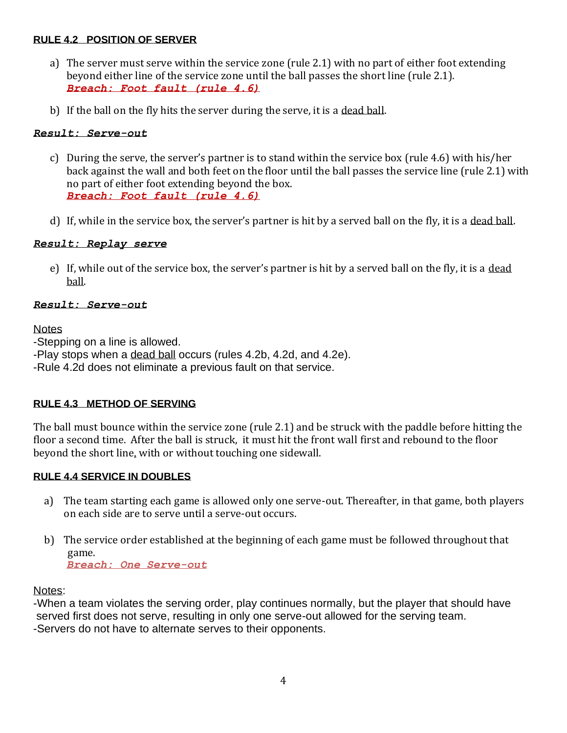#### **RULE 4.2 POSITION OF SERVER**

- a) The server must serve within the service zone (rule 2.1) with no part of either foot extending beyond either line of the service zone until the ball passes the short line (rule 2.1). *Breach: Foot fault (rule 4.6)*
- b) If the ball on the fly hits the server during the serve, it is a dead ball.

#### *Result: Serve-out*

- c) During the serve, the server's partner is to stand within the service box (rule 4.6) with his/her back against the wall and both feet on the floor until the ball passes the service line (rule 2.1) with no part of either foot extending beyond the box. *Breach: Foot fault (rule 4.6)*
- d) If, while in the service box, the server's partner is hit by a served ball on the fly, it is a dead ball.

#### *Result: Replay serve*

e) If, while out of the service box, the server's partner is hit by a served ball on the fly, it is a dead ball.

#### *Result: Serve-out*

#### **Notes**

-Stepping on a line is allowed.

-Play stops when a dead ball occurs (rules 4.2b, 4.2d, and 4.2e).

-Rule 4.2d does not eliminate a previous fault on that service.

#### **RULE 4.3 METHOD OF SERVING**

The ball must bounce within the service zone (rule 2.1) and be struck with the paddle before hitting the floor a second time. After the ball is struck, it must hit the front wall first and rebound to the floor beyond the short line, with or without touching one sidewall.

#### **RULE 4.4 SERVICE IN DOUBLES**

- a) The team starting each game is allowed only one serve-out. Thereafter, in that game, both players on each side are to serve until a serve-out occurs.
- b) The service order established at the beginning of each game must be followed throughout that game. *Breach: One Serve-out*

Notes:

-When a team violates the serving order, play continues normally, but the player that should have served first does not serve, resulting in only one serve-out allowed for the serving team. -Servers do not have to alternate serves to their opponents.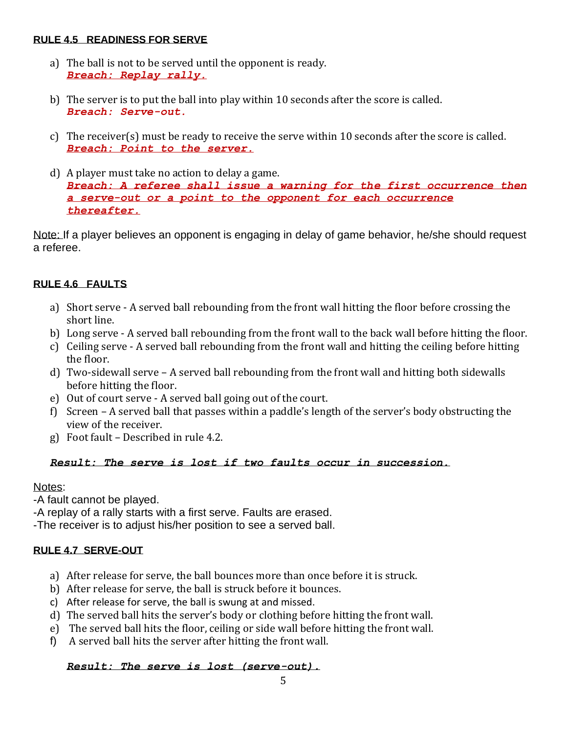#### **RULE 4.5 READINESS FOR SERVE**

- a) The ball is not to be served until the opponent is ready. *Breach: Replay rally.*
- b) The server is to put the ball into play within 10 seconds after the score is called. *Breach: Serve-out.*
- c) The receiver(s) must be ready to receive the serve within 10 seconds after the score is called. *Breach: Point to the server.*
- d) A player must take no action to delay a game. *Breach: A referee shall issue a warning for the first occurrence then a serve-out or a point to the opponent for each occurrence thereafter.*

Note: If a player believes an opponent is engaging in delay of game behavior, he/she should request a referee.

## **RULE 4.6 FAULTS**

- a) Short serve A served ball rebounding from the front wall hitting the floor before crossing the short line.
- b) Long serve A served ball rebounding from the front wall to the back wall before hitting the floor.
- c) Ceiling serve A served ball rebounding from the front wall and hitting the ceiling before hitting the floor.
- d) Two-sidewall serve A served ball rebounding from the front wall and hitting both sidewalls before hitting the floor.
- e) Out of court serve A served ball going out of the court.
- f) Screen A served ball that passes within a paddle's length of the server's body obstructing the view of the receiver.
- g) Foot fault Described in rule 4.2.

## *Result: The serve is lost if two faults occur in succession.*

## Notes:

-A fault cannot be played.

-A replay of a rally starts with a first serve. Faults are erased.

-The receiver is to adjust his/her position to see a served ball.

## **RULE 4.7 SERVE-OUT**

- a) After release for serve, the ball bounces more than once before it is struck.
- b) After release for serve, the ball is struck before it bounces.
- c) After release for serve, the ball is swung at and missed.
- d) The served ball hits the server's body or clothing before hitting the front wall.
- e) The served ball hits the floor, ceiling or side wall before hitting the front wall.
- f) A served ball hits the server after hitting the front wall.

## *Result: The serve is lost (serve-out).*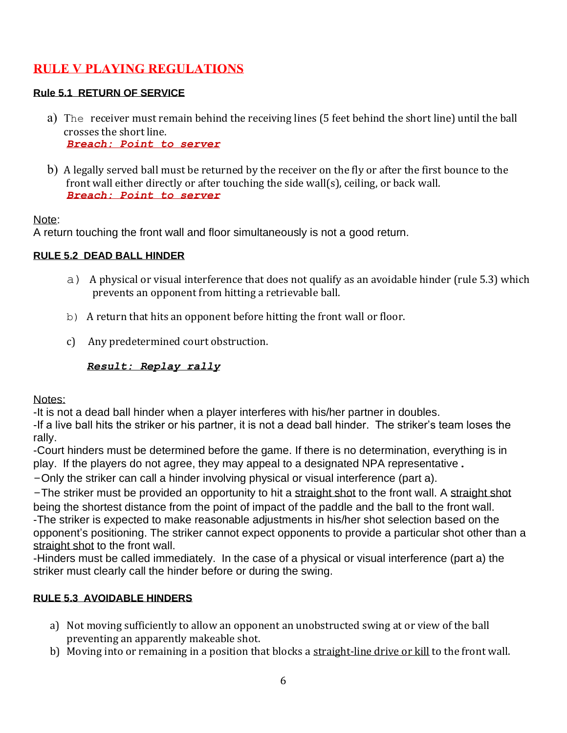## **RULE V PLAYING REGULATIONS**

## **Rule 5.1 RETURN OF SERVICE**

- a) The receiver must remain behind the receiving lines (5 feet behind the short line) until the ball crosses the short line. *Breach: Point to server*
- b) A legally served ball must be returned by the receiver on the fly or after the first bounce to the front wall either directly or after touching the side wall(s), ceiling, or back wall. *Breach: Point to server*

#### Note:

A return touching the front wall and floor simultaneously is not a good return.

#### **RULE 5.2 DEAD BALL HINDER**

- a) A physical or visual interference that does not qualify as an avoidable hinder (rule 5.3) which prevents an opponent from hitting a retrievable ball.
- b) A return that hits an opponent before hitting the front wall or floor.
- c) Any predetermined court obstruction.

 *Result: Replay rally*

Notes:

-It is not a dead ball hinder when a player interferes with his/her partner in doubles.

-If a live ball hits the striker or his partner, it is not a dead ball hinder. The striker's team loses the rally.

-Court hinders must be determined before the game. If there is no determination, everything is in play. If the players do not agree, they may appeal to a designated NPA representative.

-Only the striker can call a hinder involving physical or visual interference (part a).

-The striker must be provided an opportunity to hit a straight shot to the front wall. A straight shot being the shortest distance from the point of impact of the paddle and the ball to the front wall. -The striker is expected to make reasonable adjustments in his/her shot selection based on the opponent's positioning. The striker cannot expect opponents to provide a particular shot other than a straight shot to the front wall.

-Hinders must be called immediately. In the case of a physical or visual interference (part a) the striker must clearly call the hinder before or during the swing.

## **RULE 5.3 AVOIDABLE HINDERS**

- a) Not moving sufficiently to allow an opponent an unobstructed swing at or view of the ball preventing an apparently makeable shot.
- b) Moving into or remaining in a position that blocks a straight-line drive or kill to the front wall.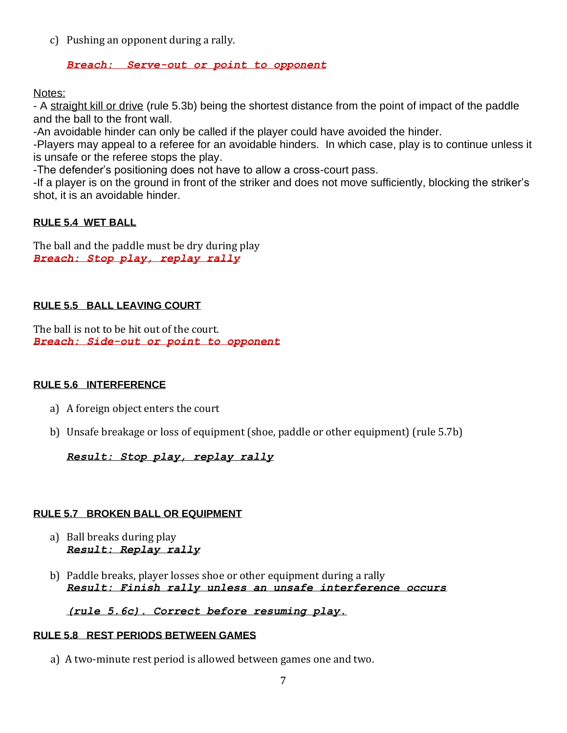c) Pushing an opponent during a rally.

#### *Breach: Serve-out or point to opponent*

Notes:

- A straight kill or drive (rule 5.3b) being the shortest distance from the point of impact of the paddle and the ball to the front wall.

-An avoidable hinder can only be called if the player could have avoided the hinder.

-Players may appeal to a referee for an avoidable hinders. In which case, play is to continue unless it is unsafe or the referee stops the play.

-The defender's positioning does not have to allow a cross-court pass.

-If a player is on the ground in front of the striker and does not move sufficiently, blocking the striker's shot, it is an avoidable hinder.

## **RULE 5.4 WET BALL**

The ball and the paddle must be dry during play *Breach: Stop play, replay rally*

## **RULE 5.5 BALL LEAVING COURT**

The ball is not to be hit out of the court. *Breach: Side-out or point to opponent*

#### **RULE 5.6 INTERFERENCE**

- a) A foreign object enters the court
- b) Unsafe breakage or loss of equipment (shoe, paddle or other equipment) (rule 5.7b)

#### *Result: Stop play, replay rally*

#### **RULE 5.7 BROKEN BALL OR EQUIPMENT**

- a) Ball breaks during play *Result: Replay rally*
- b) Paddle breaks, player losses shoe or other equipment during a rally *Result: Finish rally unless an unsafe interference occurs*

*(rule 5.6c). Correct before resuming play.* 

#### **RULE 5.8 REST PERIODS BETWEEN GAMES**

a) A two-minute rest period is allowed between games one and two.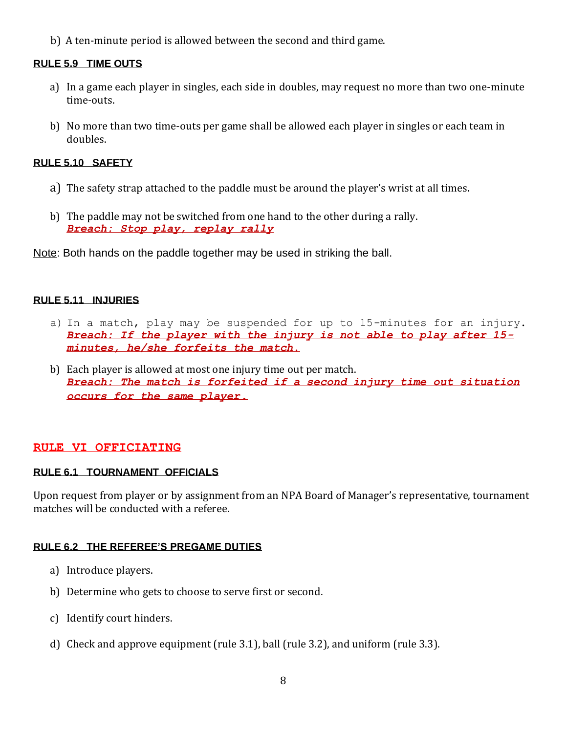b) A ten-minute period is allowed between the second and third game.

#### **RULE 5.9 TIME OUTS**

- a) In a game each player in singles, each side in doubles, may request no more than two one-minute time-outs.
- b) No more than two time-outs per game shall be allowed each player in singles or each team in doubles.

#### **RULE 5.10 SAFETY**

- a) The safety strap attached to the paddle must be around the player's wrist at all times.
- b) The paddle may not be switched from one hand to the other during a rally. *Breach: Stop play, replay rally*

Note: Both hands on the paddle together may be used in striking the ball.

#### **RULE 5.11 INJURIES**

- a) In a match, play may be suspended for up to 15-minutes for an injury. *Breach: If the player with the injury is not able to play after 15 minutes, he/she forfeits the match.*
- b) Each player is allowed at most one injury time out per match. *Breach: The match is forfeited if a second injury time out situation occurs for the same player.*

#### **RULE VI OFFICIATING**

#### **RULE 6.1 TOURNAMENT OFFICIALS**

Upon request from player or by assignment from an NPA Board of Manager's representative, tournament matches will be conducted with a referee.

#### **RULE 6.2 THE REFEREE'S PREGAME DUTIES**

- a) Introduce players.
- b) Determine who gets to choose to serve first or second.
- c) Identify court hinders.
- d) Check and approve equipment (rule 3.1), ball (rule 3.2), and uniform (rule 3.3).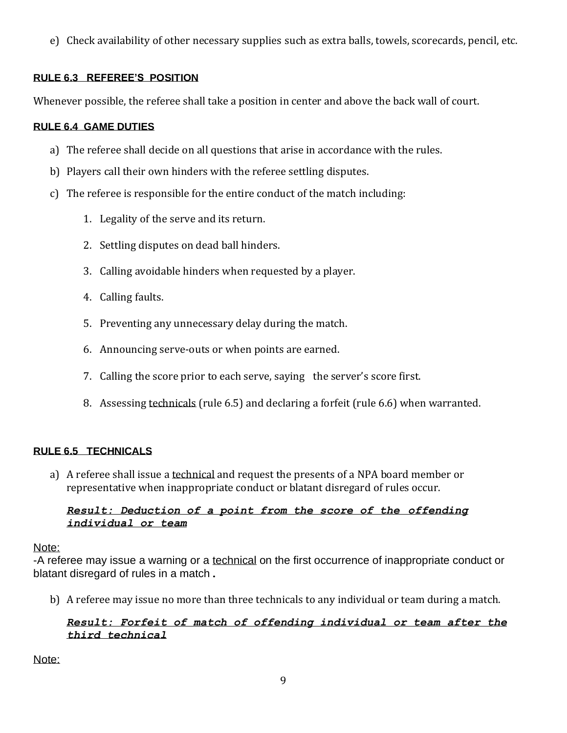e) Check availability of other necessary supplies such as extra balls, towels, scorecards, pencil, etc.

## **RULE 6.3 REFEREE'S POSITION**

Whenever possible, the referee shall take a position in center and above the back wall of court.

## **RULE 6.4 GAME DUTIES**

- a) The referee shall decide on all questions that arise in accordance with the rules.
- b) Players call their own hinders with the referee settling disputes.
- c) The referee is responsible for the entire conduct of the match including:
	- 1. Legality of the serve and its return.
	- 2. Settling disputes on dead ball hinders.
	- 3. Calling avoidable hinders when requested by a player.
	- 4. Calling faults.
	- 5. Preventing any unnecessary delay during the match.
	- 6. Announcing serve-outs or when points are earned.
	- 7. Calling the score prior to each serve, saying the server's score first.
	- 8. Assessing technicals (rule 6.5) and declaring a forfeit (rule 6.6) when warranted.

## **RULE 6.5 TECHNICALS**

a) A referee shall issue a technical and request the presents of a NPA board member or representative when inappropriate conduct or blatant disregard of rules occur.

#### *Result: Deduction of a point from the score of the offending individual or team*

#### Note:

-A referee may issue a warning or a technical on the first occurrence of inappropriate conduct or blatant disregard of rules in a match.

b) A referee may issue no more than three technicals to any individual or team during a match.

#### *Result: Forfeit of match of offending individual or team after the third technical*

Note: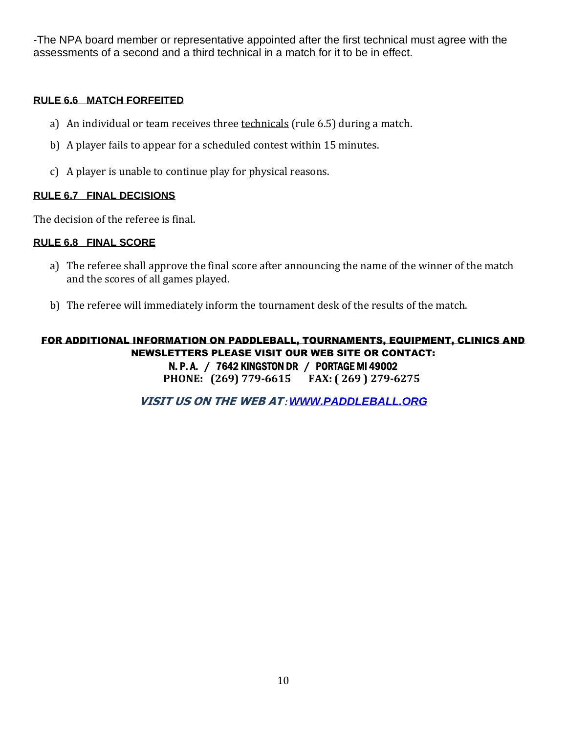-The NPA board member or representative appointed after the first technical must agree with the assessments of a second and a third technical in a match for it to be in effect.

#### **RULE 6.6 MATCH FORFEITED**

- a) An individual or team receives three technicals (rule 6.5) during a match.
- b) A player fails to appear for a scheduled contest within 15 minutes.
- c) A player is unable to continue play for physical reasons.

#### **RULE 6.7 FINAL DECISIONS**

The decision of the referee is final.

#### **RULE 6.8 FINAL SCORE**

- a) The referee shall approve the final score after announcing the name of the winner of the match and the scores of all games played.
- b) The referee will immediately inform the tournament desk of the results of the match.

#### FOR ADDITIONAL INFORMATION ON PADDLEBALL, TOURNAMENTS, EQUIPMENT, CLINICS AND NEWSLETTERS PLEASE VISIT OUR WEB SITE OR CONTACT: N. P. A. / 7642 KINGSTON DR / PORTAGE MI 49002 **PHONE: (269) 779-6615 FAX: ( 269 ) 279-6275**

**VISIT US ON THE WEB AT***:[WWW.PADDLEBALL.ORG](http://www.paddleball.org/)*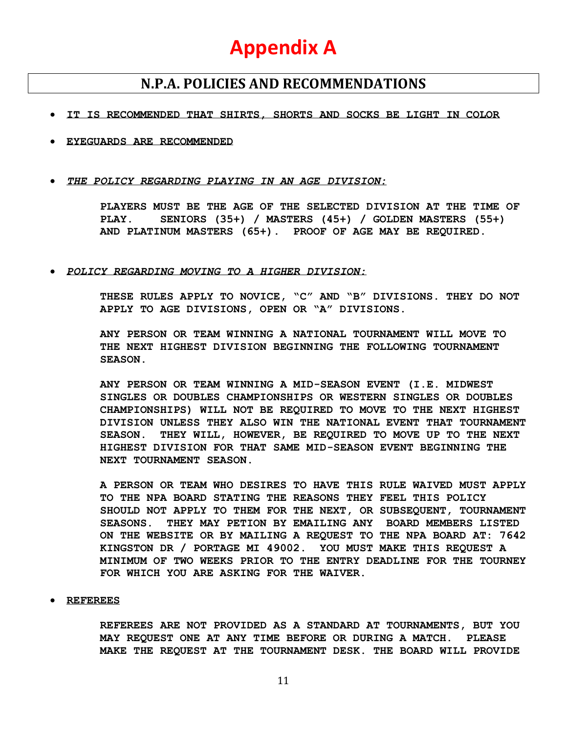## **Appendix A**

## **N.P.A. POLICIES AND RECOMMENDATIONS**

#### • **IT IS RECOMMENDED THAT SHIRTS, SHORTS AND SOCKS BE LIGHT IN COLOR**

- **EYEGUARDS ARE RECOMMENDED**
- *THE POLICY REGARDING PLAYING IN AN AGE DIVISION:*

**PLAYERS MUST BE THE AGE OF THE SELECTED DIVISION AT THE TIME OF PLAY. SENIORS (35+) / MASTERS (45+) / GOLDEN MASTERS (55+) AND PLATINUM MASTERS (65+). PROOF OF AGE MAY BE REQUIRED.**

• *POLICY REGARDING MOVING TO A HIGHER DIVISION:*

**THESE RULES APPLY TO NOVICE, "C" AND "B" DIVISIONS. THEY DO NOT APPLY TO AGE DIVISIONS, OPEN OR "A" DIVISIONS.**

**ANY PERSON OR TEAM WINNING A NATIONAL TOURNAMENT WILL MOVE TO THE NEXT HIGHEST DIVISION BEGINNING THE FOLLOWING TOURNAMENT SEASON.**

**ANY PERSON OR TEAM WINNING A MID-SEASON EVENT (I.E. MIDWEST SINGLES OR DOUBLES CHAMPIONSHIPS OR WESTERN SINGLES OR DOUBLES CHAMPIONSHIPS) WILL NOT BE REQUIRED TO MOVE TO THE NEXT HIGHEST DIVISION UNLESS THEY ALSO WIN THE NATIONAL EVENT THAT TOURNAMENT SEASON. THEY WILL, HOWEVER, BE REQUIRED TO MOVE UP TO THE NEXT HIGHEST DIVISION FOR THAT SAME MID-SEASON EVENT BEGINNING THE NEXT TOURNAMENT SEASON.**

**A PERSON OR TEAM WHO DESIRES TO HAVE THIS RULE WAIVED MUST APPLY TO THE NPA BOARD STATING THE REASONS THEY FEEL THIS POLICY SHOULD NOT APPLY TO THEM FOR THE NEXT, OR SUBSEQUENT, TOURNAMENT SEASONS. THEY MAY PETION BY EMAILING ANY BOARD MEMBERS LISTED ON THE WEBSITE OR BY MAILING A REQUEST TO THE NPA BOARD AT: 7642 KINGSTON DR / PORTAGE MI 49002. YOU MUST MAKE THIS REQUEST A MINIMUM OF TWO WEEKS PRIOR TO THE ENTRY DEADLINE FOR THE TOURNEY FOR WHICH YOU ARE ASKING FOR THE WAIVER.**

#### • **REFEREES**

**REFEREES ARE NOT PROVIDED AS A STANDARD AT TOURNAMENTS, BUT YOU MAY REQUEST ONE AT ANY TIME BEFORE OR DURING A MATCH. PLEASE MAKE THE REQUEST AT THE TOURNAMENT DESK. THE BOARD WILL PROVIDE**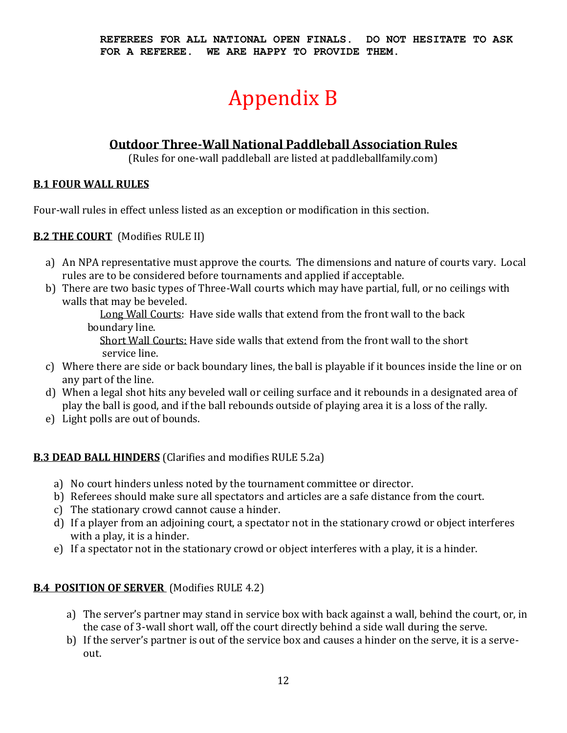# Appendix B

## **Outdoor Three-Wall National Paddleball Association Rules**

(Rules for one-wall paddleball are listed at paddleballfamily.com)

## **B.1 FOUR WALL RULES**

Four-wall rules in effect unless listed as an exception or modification in this section.

## **B.2 THE COURT** (Modifies RULE II)

- a) An NPA representative must approve the courts. The dimensions and nature of courts vary. Local rules are to be considered before tournaments and applied if acceptable.
- b) There are two basic types of Three-Wall courts which may have partial, full, or no ceilings with walls that may be beveled.

Long Wall Courts: Have side walls that extend from the front wall to the back boundary line.

Short Wall Courts: Have side walls that extend from the front wall to the short service line.

- c) Where there are side or back boundary lines, the ball is playable if it bounces inside the line or on any part of the line.
- d) When a legal shot hits any beveled wall or ceiling surface and it rebounds in a designated area of play the ball is good, and if the ball rebounds outside of playing area it is a loss of the rally.
- e) Light polls are out of bounds.

## **B.3 DEAD BALL HINDERS** (Clarifies and modifies RULE 5.2a)

- a) No court hinders unless noted by the tournament committee or director.
- b) Referees should make sure all spectators and articles are a safe distance from the court.
- c) The stationary crowd cannot cause a hinder.
- d) If a player from an adjoining court, a spectator not in the stationary crowd or object interferes with a play, it is a hinder.
- e) If a spectator not in the stationary crowd or object interferes with a play, it is a hinder.

## **B.4 POSITION OF SERVER** (Modifies RULE 4.2)

- a) The server's partner may stand in service box with back against a wall, behind the court, or, in the case of 3-wall short wall, off the court directly behind a side wall during the serve.
- b) If the server's partner is out of the service box and causes a hinder on the serve, it is a serveout.